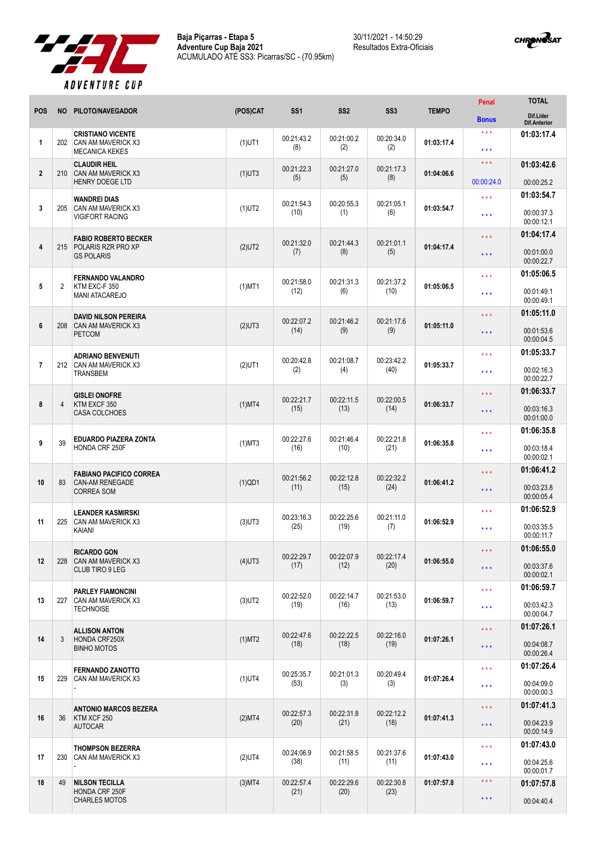

30/11/2021 - 14:50:29 Resultados Extra-Oficiais



| <b>POS</b>     | <b>NO</b>      | PILOTO/NAVEGADOR                               | (POS)CAT  | SS <sub>1</sub>    | SS <sub>2</sub>    | SS <sub>3</sub>    | <b>TEMPO</b> | <b>Penal</b>                                                                                                                                                                                                                                | <b>TOTAL</b>                     |
|----------------|----------------|------------------------------------------------|-----------|--------------------|--------------------|--------------------|--------------|---------------------------------------------------------------------------------------------------------------------------------------------------------------------------------------------------------------------------------------------|----------------------------------|
|                |                |                                                |           |                    |                    |                    |              | <b>Bonus</b>                                                                                                                                                                                                                                | Dif.Lider<br><b>Dif.Anterior</b> |
| 1              | 202            | <b>CRISTIANO VICENTE</b><br>CAN AM MAVERICK X3 | $(1)$ UT1 | 00:21:43.2         | 00:21:00.2         | 00:20:34.0         | 01:03:17.4   | ***                                                                                                                                                                                                                                         | 01:03:17.4                       |
|                |                | <b>MECANICA KEKES</b>                          |           | (8)                | (2)                | (2)                |              | * * *                                                                                                                                                                                                                                       |                                  |
| $\mathbf{2}$   | 210            | <b>CLAUDIR HEIL</b><br>CAN AM MAVERICK X3      | $(1)$ UT3 | 00:21:22.3         | 00:21:27.0         | 00:21:17.3         | 01:04:06.6   | $\star\star\star$                                                                                                                                                                                                                           | 01:03:42.6                       |
|                |                | <b>HENRY DOEGE LTD</b>                         |           | (5)                | (5)                | (8)                |              | 00:00:24.0                                                                                                                                                                                                                                  | 00:00:25.2                       |
|                |                | <b>WANDREI DIAS</b>                            |           | 00:21:54.3         | 00:20:55.3         | 00:21:05.1         |              | $***$                                                                                                                                                                                                                                       | 01:03:54.7                       |
| 3              | 205            | CAN AM MAVERICK X3<br><b>VIGIFORT RACING</b>   | $(1)$ UT2 | (10)               | (1)                | (6)                | 01:03:54.7   | ***                                                                                                                                                                                                                                         | 00:00:37.3<br>00:00:12.1         |
|                |                | <b>FABIO ROBERTO BECKER</b>                    |           |                    |                    |                    |              | * * *                                                                                                                                                                                                                                       | 01:04:17.4                       |
| 4              | 215            | <b>POLARIS RZR PRO XP</b><br><b>GS POLARIS</b> | $(2)$ UT2 | 00:21:32.0<br>(7)  | 00:21:44.3<br>(8)  | 00:21:01.1<br>(5)  | 01:04:17.4   |                                                                                                                                                                                                                                             | 00:01:00.0                       |
|                |                |                                                |           |                    |                    |                    |              |                                                                                                                                                                                                                                             | 00:00:22.7                       |
| 5              | $\overline{2}$ | <b>FERNANDO VALANDRO</b><br>KTM EXC-F 350      | $(1)$ MT1 | 00:21:58.0         | 00:21:31.3         | 00:21:37.2         | 01:05:06.5   | ***                                                                                                                                                                                                                                         | 01:05:06.5                       |
|                |                | <b>MANI ATACAREJO</b>                          |           | (12)               | (6)                | (10)               |              | ***                                                                                                                                                                                                                                         | 00:01:49.1<br>00:00:49.1         |
|                |                | <b>DAVID NILSON PEREIRA</b>                    |           |                    |                    |                    |              | * * *                                                                                                                                                                                                                                       | 01:05:11.0                       |
| 6              | 208            | CAN AM MAVERICK X3<br><b>PETCOM</b>            | $(2)$ UT3 | 00:22:07.2<br>(14) | 00:21:46.2<br>(9)  | 00:21:17.6<br>(9)  | 01:05:11.0   | $\star \star \star$                                                                                                                                                                                                                         | 00:01:53.6                       |
|                |                |                                                |           |                    |                    |                    |              |                                                                                                                                                                                                                                             | 00:00:04.5                       |
| $\overline{7}$ | 212            | <b>ADRIANO BENVENUTI</b><br>CAN AM MAVERICK X3 | $(2)$ UT1 | 00:20:42.8         | 00:21:08.7         | 00:23:42.2         | 01:05:33.7   |                                                                                                                                                                                                                                             | 01:05:33.7                       |
|                |                | <b>TRANSBEM</b>                                |           | (2)                | (4)                | (40)               |              | ***                                                                                                                                                                                                                                         | 00:02:16.3<br>00:00:22.7         |
|                |                | <b>GISLEI ONOFRE</b>                           |           |                    |                    |                    |              | * * *                                                                                                                                                                                                                                       | 01:06:33.7                       |
| 8              | 4              | KTM EXCF 350<br><b>CASA COLCHOES</b>           | $(1)$ MT4 | 00:22:21.7<br>(15) | 00:22:11.5<br>(13) | 00:22:00.5<br>(14) | 01:06:33.7   | $\star \star \star$                                                                                                                                                                                                                         | 00:03:16.3                       |
|                |                |                                                |           |                    |                    |                    |              |                                                                                                                                                                                                                                             | 00:01:00.0                       |
| 9              | 39             | <b>EDUARDO PIAZERA ZONTA</b>                   | $(1)$ MT3 | 00:22:27.6         | 00:21:46.4         | 00:22:21.8         | 01:06:35.8   | ***                                                                                                                                                                                                                                         | 01:06:35.8                       |
|                |                | HONDA CRF 250F                                 |           | (16)               | (10)               | (21)               |              | ***                                                                                                                                                                                                                                         | 00:03:18.4<br>00:00:02.1         |
|                |                | <b>FABIANO PACIFICO CORREA</b>                 |           |                    |                    |                    |              | * * *                                                                                                                                                                                                                                       | 01:06:41.2                       |
| 10             | 83             | <b>CAN-AM RENEGADE</b><br><b>CORREA SOM</b>    | $(1)$ QD1 | 00:21:56.2<br>(11) | 00:22:12.8<br>(15) | 00:22:32.2<br>(24) | 01:06:41.2   | $***$                                                                                                                                                                                                                                       | 00:03:23.8                       |
|                |                |                                                |           |                    |                    |                    |              |                                                                                                                                                                                                                                             | 00:00:05.4                       |
| 11             | 225            | <b>LEANDER KASMIRSKI</b><br>CAN AM MAVERICK X3 | $(3)$ UT3 | 00:23:16.3         | 00:22:25.6         | 00:21:11.0         | 01:06:52.9   | ***                                                                                                                                                                                                                                         | 01:06:52.9                       |
|                |                | KAIANI                                         |           | (25)               | (19)               | (7)                |              | $\star \star \star$                                                                                                                                                                                                                         | 00:03:35.5<br>00:00:11.7         |
|                |                | <b>RICARDO GON</b>                             |           |                    |                    |                    |              | $\star\star\star$                                                                                                                                                                                                                           | 01:06:55.0                       |
| 12             | 228            | CAN AM MAVERICK X3<br><b>CLUB TIRO 9 LEG</b>   | $(4)$ UT3 | 00:22:29.7<br>(17) | 00:22:07.9<br>(12) | 00:22:17.4<br>(20) | 01:06:55.0   | $\star \star \star$                                                                                                                                                                                                                         | 00:03:37.6                       |
|                |                |                                                |           |                    |                    |                    |              |                                                                                                                                                                                                                                             | 00:00:02.1<br>01:06:59.7         |
| 13             | 227            | <b>PARLEY FIAMONCINI</b><br>CAN AM MAVERICK X3 | $(3)$ UT2 | 00:22:52.0         | 00:22:14.7         | 00:21:53.0         | 01:06:59.7   | $\star \star \star$<br>$***$<br>$\star \star \star$<br>$\star \star \star$<br>$***$<br>$\star \star \star$<br>$\star \star \star$<br>* * *<br>$\star \star \star$<br>$\star \star \star$<br>$\star\star\star$<br>$\star\star\star$<br>$***$ |                                  |
|                |                | <b>TECHNOISE</b>                               |           | (19)               | (16)               | (13)               |              |                                                                                                                                                                                                                                             | 00:03:42.3<br>00:00:04.7         |
|                |                | <b>ALLISON ANTON</b>                           |           | 00:22:47.6         | 00:22:22.5         | 00:22:16.0         |              |                                                                                                                                                                                                                                             | 01:07:26.1                       |
| 14             | 3              | HONDA CRF250X<br><b>BINHO MOTOS</b>            | $(1)$ MT2 | (18)               | (18)               | (19)               | 01:07:26.1   |                                                                                                                                                                                                                                             | 00:04:08.7                       |
|                |                |                                                |           |                    |                    |                    |              |                                                                                                                                                                                                                                             | 00:00:26.4<br>01:07:26.4         |
| 15             | 229            | <b>FERNANDO ZANOTTO</b><br>CAN AM MAVERICK X3  | $(1)$ UT4 | 00:25:35.7<br>(53) | 00:21:01.3<br>(3)  | 00:20:49.4<br>(3)  | 01:07:26.4   |                                                                                                                                                                                                                                             | 00:04:09.0                       |
|                |                |                                                |           |                    |                    |                    |              |                                                                                                                                                                                                                                             | 00:00:00.3                       |
|                |                | <b>ANTONIO MARCOS BEZERA</b>                   |           | 00:22:57.3         | 00:22:31.8         | 00:22:12.2         |              |                                                                                                                                                                                                                                             | 01:07:41.3                       |
| 16             | 36             | KTM XCF 250<br><b>AUTOCAR</b>                  | (2)MT4    | (20)               | (21)               | (18)               | 01:07:41.3   |                                                                                                                                                                                                                                             | 00:04:23.9                       |
|                |                |                                                |           |                    |                    |                    |              |                                                                                                                                                                                                                                             | 00:00:14.9<br>01:07:43.0         |
| 17             | 230            | <b>THOMPSON BEZERRA</b><br>CAN AM MAVERICK X3  | $(2)$ UT4 | 00:24:06.9<br>(38) | 00:21:58.5<br>(11) | 00:21:37.6<br>(11) | 01:07:43.0   |                                                                                                                                                                                                                                             | 00:04:25.6                       |
|                |                |                                                |           |                    |                    |                    |              |                                                                                                                                                                                                                                             | 00:00:01.7                       |
| 18             | 49             | <b>NILSON TECILLA</b><br><b>HONDA CRF 250F</b> | $(3)$ MT4 | 00:22:57.4<br>(21) | 00:22:29.6<br>(20) | 00:22:30.8<br>(23) | 01:07:57.8   |                                                                                                                                                                                                                                             | 01:07:57.8                       |
|                |                | <b>CHARLES MOTOS</b>                           |           |                    |                    |                    |              | $\star$ $\star$ $\star$                                                                                                                                                                                                                     | 00:04:40.4                       |
|                |                |                                                |           |                    |                    |                    |              |                                                                                                                                                                                                                                             |                                  |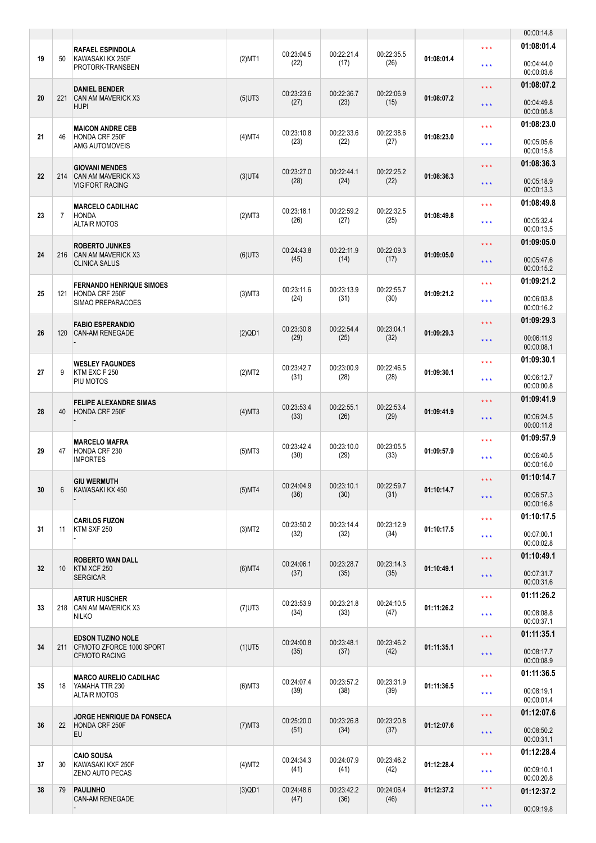|    |                 |                                                                 |              |                    |                    |                    |            |                                                | 00:00:14.8                             |
|----|-----------------|-----------------------------------------------------------------|--------------|--------------------|--------------------|--------------------|------------|------------------------------------------------|----------------------------------------|
| 19 | 50              | <b>RAFAEL ESPINDOLA</b><br>KAWASAKI KX 250F<br>PROTORK-TRANSBEN | $(2)$ MT1    | 00:23:04.5<br>(22) | 00:22:21.4<br>(17) | 00:22:35.5<br>(26) | 01:08:01.4 | $\star \star \star$<br>$***$                   | 01:08:01.4<br>00:04:44.0               |
| 20 | 221             | <b>DANIEL BENDER</b><br><b>CAN AM MAVERICK X3</b>               | $(5)$ UT3    | 00:23:23.6         | 00:22:36.7         | 00:22:06.9         | 01:08:07.2 | $\star \star \star$                            | 00:00:03.6<br>01:08:07.2               |
|    |                 | <b>HUPI</b>                                                     |              | (27)               | (23)               | (15)               |            | $\star \star \star$                            | 00:04:49.8<br>00:00:05.8               |
| 21 | 46              | <b>MAICON ANDRE CEB</b><br>HONDA CRF 250F<br>AMG AUTOMOVEIS     | $(4)$ MT4    | 00:23:10.8<br>(23) | 00:22:33.6<br>(22) | 00:22:38.6<br>(27) | 01:08:23.0 | $***$<br>$***$                                 | 01:08:23.0<br>00:05:05.6               |
|    |                 | <b>GIOVANI MENDES</b>                                           |              | 00:23:27.0         | 00:22:44.1         | 00:22:25.2         |            | $\star \star \star$                            | 00:00:15.8<br>01:08:36.3               |
| 22 | 214             | CAN AM MAVERICK X3<br><b>VIGIFORT RACING</b>                    | $(3)$ UT4    | (28)               | (24)               | (22)               | 01:08:36.3 | $***$                                          | 00:05:18.9<br>00:00:13.3               |
| 23 | $\overline{7}$  | <b>MARCELO CADILHAC</b><br><b>HONDA</b><br><b>ALTAIR MOTOS</b>  | (2)MT3       | 00:23:18.1<br>(26) | 00:22:59.2<br>(27) | 00:22:32.5<br>(25) | 01:08:49.8 | $\star \star \star$<br>$\star$ $\star$ $\star$ | 01:08:49.8<br>00:05:32.4<br>00:00:13.5 |
|    |                 | <b>ROBERTO JUNKES</b>                                           |              | 00:24:43.8         | 00:22:11.9         | 00:22:09.3         |            | $\star \star \star$                            | 01:09:05.0                             |
| 24 | 216             | <b>CAN AM MAVERICK X3</b><br><b>CLINICA SALUS</b>               | $(6)$ UT3    | (45)               | (14)               | (17)               | 01:09:05.0 | $\star \star \star$                            | 00:05:47.6<br>00:00:15.2               |
| 25 | 121             | <b>FERNANDO HENRIQUE SIMOES</b><br>HONDA CRF 250F               | $(3)$ MT $3$ | 00:23:11.6<br>(24) | 00:23:13.9<br>(31) | 00:22:55.7<br>(30) | 01:09:21.2 | $\star \star \star$<br>$***$                   | 01:09:21.2<br>00:06:03.8               |
|    |                 | SIMAO PREPARACOES                                               |              |                    |                    |                    |            |                                                | 00:00:16.2<br>01:09:29.3               |
| 26 | 120             | <b>FABIO ESPERANDIO</b><br><b>CAN-AM RENEGADE</b>               | (2)QD1       | 00:23:30.8<br>(29) | 00:22:54.4<br>(25) | 00:23:04.1<br>(32) | 01:09:29.3 | $\star \star \star$<br>$\star \star \star$     | 00:06:11.9<br>00:00:08.1               |
| 27 | 9               | <b>WESLEY FAGUNDES</b><br>KTM EXC F 250                         | (2)MT2       | 00:23:42.7         | 00:23:00.9         | 00:22:46.5         | 01:09:30.1 | $\star \star \star$                            | 01:09:30.1                             |
|    |                 | PIU MOTOS                                                       |              | (31)               | (28)               | (28)               |            | $***$                                          | 00:06:12.7<br>00:00:00.8               |
| 28 | 40              | <b>FELIPE ALEXANDRE SIMAS</b><br>HONDA CRF 250F                 | $(4)$ MT3    | 00:23:53.4<br>(33) | 00:22:55.1<br>(26) | 00:22:53.4<br>(29) | 01:09:41.9 | $\star \star \star$<br>$\star \star \star$     | 01:09:41.9<br>00:06:24.5<br>00:00:11.8 |
| 29 |                 | <b>MARCELO MAFRA</b>                                            |              | 00:23:42.4         | 00:23:10.0         | 00:23:05.5         |            | $\star \star \star$                            | 01:09:57.9                             |
|    | 47              | HONDA CRF 230<br><b>IMPORTES</b>                                | $(5)$ MT3    | (30)               | (29)               | (33)               | 01:09:57.9 | $\star \star \star$                            | 00:06:40.5<br>00:00:16.0               |
| 30 | 6               | <b>GIU WERMUTH</b><br>KAWASAKI KX 450                           | $(5)$ MT4    | 00:24:04.9<br>(36) | 00:23:10.1<br>(30) | 00:22:59.7<br>(31) | 01:10:14.7 | $\star\star\star$<br>$\star \star \star$       | 01:10:14.7<br>00:06:57.3               |
|    |                 |                                                                 |              |                    |                    |                    |            |                                                | 00:00:16.8<br>01:10:17.5               |
| 31 | 11              | <b>CARILOS FUZON</b><br>KTM SXF 250                             | (3)MT2       | 00:23:50.2<br>(32) | 00:23:14.4<br>(32) | 00:23:12.9<br>(34) | 01:10:17.5 | $\star\star\star$<br>$\star \star \star$       | 00:07:00.1<br>00:00:02.8               |
| 32 | 10 <sup>°</sup> | <b>ROBERTO WAN DALL</b><br>KTM XCF 250                          | $(6)$ MT4    | 00:24:06.1         | 00:23:28.7         | 00:23:14.3         | 01:10:49.1 | $\star\star\star$                              | 01:10:49.1                             |
|    |                 | <b>SERGICAR</b>                                                 |              | (37)               | (35)               | (35)               |            | $\star \star \star$                            | 00:07:31.7<br>00:00:31.6               |
| 33 | 218             | <b>ARTUR HUSCHER</b><br>CAN AM MAVERICK X3<br><b>NILKO</b>      | $(7)$ UT3    | 00:23:53.9<br>(34) | 00:23:21.8<br>(33) | 00:24:10.5<br>(47) | 01:11:26.2 | $\star\star\star$<br>$***$                     | 01:11:26.2<br>00:08:08.8<br>00:00:37.1 |
|    |                 | <b>EDSON TUZINO NOLE</b>                                        |              | 00:24:00.8         | 00:23:48.1         | 00:23:46.2         |            | $\star\star\star$                              | 01:11:35.1                             |
| 34 | 211             | CFMOTO ZFORCE 1000 SPORT<br><b>CFMOTO RACING</b>                | $(1)$ UT5    | (35)               | (37)               | (42)               | 01:11:35.1 | $\star \star \star$                            | 00:08:17.7<br>00:00:08.9               |
| 35 | 18              | <b>MARCO AURELIO CADILHAC</b><br>YAMAHA TTR 230                 | $(6)$ MT3    | 00:24:07.4<br>(39) | 00:23:57.2<br>(38) | 00:23:31.9<br>(39) | 01:11:36.5 | $\star\star\star$<br>$\star \star \star$       | 01:11:36.5<br>00:08:19.1               |
|    |                 | <b>ALTAIR MOTOS</b>                                             |              |                    |                    |                    |            | $***$                                          | 00:00:01.4<br>01:12:07.6               |
| 36 | 22              | <b>JORGE HENRIQUE DA FONSECA</b><br>HONDA CRF 250F<br>EU        | $(7)$ MT3    | 00:25:20.0<br>(51) | 00:23:26.8<br>(34) | 00:23:20.8<br>(37) | 01:12:07.6 | $\star \star \star$                            | 00:08:50.2<br>00:00:31.1               |
| 37 | 30              | <b>CAIO SOUSA</b><br>KAWASAKI KXF 250F                          | (4)MT2       | 00:24:34.3         | 00:24:07.9         | 00:23:46.2         | 01:12:28.4 | $\star \star \star$                            | 01:12:28.4                             |
|    |                 | <b>ZENO AUTO PECAS</b>                                          |              | (41)               | (41)               | (42)               |            | $\star \star \star$<br>$\star\star\star$       | 00:09:10.1<br>00:00:20.8               |
| 38 | 79              | <b>PAULINHO</b><br>CAN-AM RENEGADE                              | $(3)$ QD1    | 00:24:48.6<br>(47) | 00:23:42.2<br>(36) | 00:24:06.4<br>(46) | 01:12:37.2 | $\star \star \star$                            | 01:12:37.2<br>00:09:19.8               |
|    |                 |                                                                 |              |                    |                    |                    |            |                                                |                                        |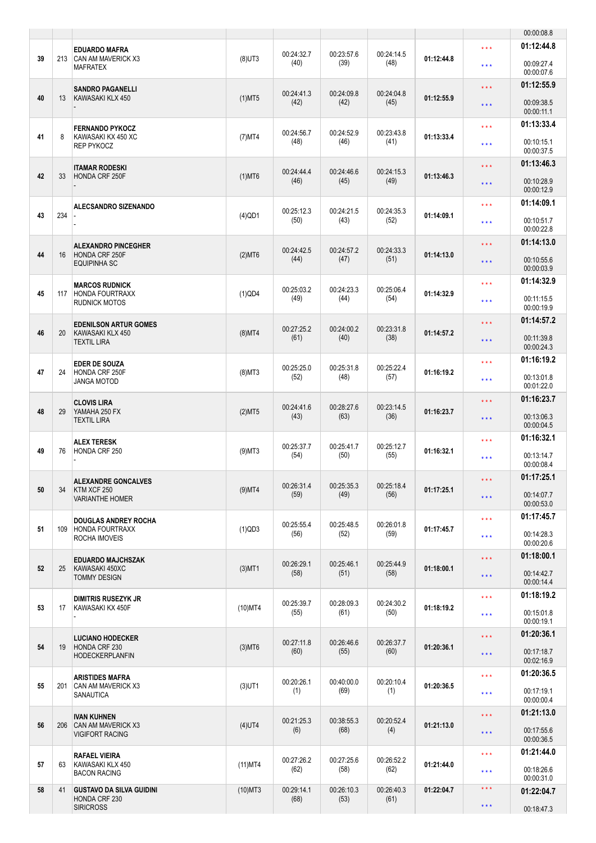|    |     |                                                           |            |                    |                    |                    |            |                                            | 00:00:08.8               |
|----|-----|-----------------------------------------------------------|------------|--------------------|--------------------|--------------------|------------|--------------------------------------------|--------------------------|
| 39 | 213 | <b>EDUARDO MAFRA</b><br><b>CAN AM MAVERICK X3</b>         | $(8)$ UT3  | 00:24:32.7<br>(40) | 00:23:57.6<br>(39) | 00:24:14.5<br>(48) | 01:12:44.8 | $\star \star \star$                        | 01:12:44.8<br>00:09:27.4 |
|    |     | <b>MAFRATEX</b>                                           |            |                    |                    |                    |            | $***$                                      | 00:00:07.6<br>01:12:55.9 |
| 40 | 13  | <b>SANDRO PAGANELLI</b><br>KAWASAKI KLX 450               | $(1)$ MT5  | 00:24:41.3<br>(42) | 00:24:09.8<br>(42) | 00:24:04.8<br>(45) | 01:12:55.9 | $\star \star \star$<br>$\star \star \star$ | 00:09:38.5<br>00:00:11.1 |
|    |     | <b>FERNANDO PYKOCZ</b>                                    |            |                    |                    |                    |            | $\star \star \star$                        | 01:13:33.4               |
| 41 | 8   | KAWASAKI KX 450 XC<br><b>REP PYKOCZ</b>                   | $(7)$ MT4  | 00:24:56.7<br>(48) | 00:24:52.9<br>(46) | 00:23:43.8<br>(41) | 01:13:33.4 | $\star \star \star$                        | 00:10:15.1<br>00:00:37.5 |
|    |     | <b>ITAMAR RODESKI</b>                                     |            | 00:24:44.4         | 00:24:46.6         | 00:24:15.3         |            | $\star \star \star$                        | 01:13:46.3               |
| 42 | 33  | HONDA CRF 250F                                            | $(1)$ MT6  | (46)               | (45)               | (49)               | 01:13:46.3 | $\star \star \star$                        | 00:10:28.9<br>00:00:12.9 |
| 43 | 234 | <b>ALECSANDRO SIZENANDO</b>                               |            | 00:25:12.3         | 00:24:21.5         | 00:24:35.3         |            | $***$                                      | 01:14:09.1               |
|    |     |                                                           | $(4)$ QD1  | (50)               | (43)               | (52)               | 01:14:09.1 | $***$                                      | 00:10:51.7<br>00:00:22.8 |
|    |     | <b>ALEXANDRO PINCEGHER</b>                                |            | 00:24:42.5         | 00:24:57.2         | 00:24:33.3         |            | $\star \star \star$                        | 01:14:13.0               |
| 44 | 16  | HONDA CRF 250F<br><b>EQUIPINHA SC</b>                     | $(2)$ MT6  | (44)               | (47)               | (51)               | 01:14:13.0 | $\star \star \star$                        | 00:10:55.6<br>00:00:03.9 |
|    |     | <b>MARCOS RUDNICK</b>                                     |            | 00:25:03.2         | 00:24:23.3         | 00:25:06.4         |            | $\star \star \star$                        | 01:14:32.9               |
| 45 | 117 | <b>HONDA FOURTRAXX</b><br><b>RUDNICK MOTOS</b>            | (1)QD4     | (49)               | (44)               | (54)               | 01:14:32.9 | $\star \star \star$                        | 00:11:15.5<br>00:00:19.9 |
|    |     | <b>EDENILSON ARTUR GOMES</b>                              |            | 00:27:25.2         | 00:24:00.2         | 00:23:31.8         |            | $\star \star \star$                        | 01:14:57.2               |
| 46 | 20  | KAWASAKI KLX 450<br><b>TEXTIL LIRA</b>                    | $(8)$ MT4  | (61)               | (40)               | (38)               | 01:14:57.2 | $\star \star \star$                        | 00:11:39.8<br>00:00:24.3 |
|    |     | <b>EDER DE SOUZA</b>                                      |            | 00:25:25.0         | 00:25:31.8         | 00:25:22.4         |            | $\star \star \star$                        | 01:16:19.2               |
| 47 | 24  | HONDA CRF 250F<br><b>JANGA MOTOD</b>                      | $(8)$ MT3  | (52)               | (48)               | (57)               | 01:16:19.2 | $\star \star \star$                        | 00:13:01.8<br>00:01:22.0 |
|    |     | <b>CLOVIS LIRA</b><br>YAMAHA 250 FX<br><b>TEXTIL LIRA</b> |            | 00:24:41.6         | 00:28:27.6         | 00:23:14.5         |            | $\star \star \star$                        | 01:16:23.7               |
| 48 | 29  |                                                           | (2)MT5     | (43)               | (63)               | (36)               | 01:16:23.7 | $\star \star \star$                        | 00:13:06.3<br>00:00:04.5 |
|    |     | <b>ALEX TERESK</b>                                        |            | 00:25:37.7         | 00:25:41.7         | 00:25:12.7         |            | $\star \star \star$                        | 01:16:32.1               |
| 49 | 76  | HONDA CRF 250                                             | $(9)$ MT3  | (54)               | (50)               | (55)               | 01:16:32.1 | $***$                                      | 00:13:14.7<br>00:00:08.4 |
|    |     | <b>ALEXANDRE GONCALVES</b>                                |            | 00:26:31.4         | 00:25:35.3         | 00:25:18.4         | 01:17:25.1 | $\star\star\star$                          | 01:17:25.1               |
| 50 | 34  | KTM XCF 250<br><b>VARIANTHE HOMER</b>                     | $(9)$ MT4  | (59)               | (49)               | (56)               |            | $\star \star \star$                        | 00:14:07.7<br>00:00:53.0 |
|    |     | <b>DOUGLAS ANDREY ROCHA</b>                               |            | 00:25:55.4         | 00:25:48.5         | 00:26:01.8         |            | $***$                                      | 01:17:45.7               |
| 51 | 109 | <b>HONDA FOURTRAXX</b><br>ROCHA IMOVEIS                   | (1)QD3     | (56)               | (52)               | (59)               | 01:17:45.7 | $\star \star \star$                        | 00:14:28.3<br>00:00:20.6 |
|    |     | <b>EDUARDO MAJCHSZAK</b>                                  |            | 00:26:29.1         | 00:25:46.1         | 00:25:44.9         |            | $\star \star \star$                        | 01:18:00.1               |
| 52 | 25  | KAWASAKI 450XC<br><b>TOMMY DESIGN</b>                     | $(3)$ MT1  | (58)               | (51)               | (58)               | 01:18:00.1 | $\star \star \star$                        | 00:14:42.7<br>00:00:14.4 |
| 53 | 17  | <b>DIMITRIS RUSEZYK JR</b><br>KAWASAKI KX 450F            | $(10)$ MT4 | 00:25:39.7         | 00:28:09.3         | 00:24:30.2         | 01:18:19.2 | $\star \star \star$                        | 01:18:19.2               |
|    |     |                                                           |            | (55)               | (61)               | (50)               |            | $\star \star \star$                        | 00:15:01.8<br>00:00:19.1 |
|    |     | <b>LUCIANO HODECKER</b>                                   |            | 00:27:11.8         | 00:26:46.6         | 00:26:37.7         |            | $\star\star\star$                          | 01:20:36.1               |
| 54 | 19  | HONDA CRF 230<br><b>HODECKERPLANFIN</b>                   | $(3)$ MT6  | (60)               | (55)               | (60)               | 01:20:36.1 | $\star \star \star$                        | 00:17:18.7<br>00:02:16.9 |
|    |     | <b>ARISTIDES MAFRA</b>                                    |            | 00:20:26.1         | 00:40:00.0         | 00:20:10.4         |            | $\star \star \star$                        | 01:20:36.5               |
| 55 | 201 | CAN AM MAVERICK X3<br>SANAUTICA                           | $(3)$ UT1  | (1)                | (69)               | (1)                | 01:20:36.5 | $***$                                      | 00:17:19.1<br>00:00:00.4 |
|    |     | <b>IVAN KUHNEN</b>                                        |            | 00:21:25.3         | 00:38:55.3         | 00:20:52.4         |            | $\star$ $\star$ $\star$                    | 01:21:13.0               |
| 56 | 206 | <b>CAN AM MAVERICK X3</b><br><b>VIGIFORT RACING</b>       | $(4)$ UT4  | (6)                | (68)               | (4)                | 01:21:13.0 | $\star$ $\star$ $\star$                    | 00:17:55.6<br>00:00:36.5 |
|    |     | <b>RAFAEL VIEIRA</b>                                      |            | 00:27:26.2         | 00:27:25.6         | 00:26:52.2         |            | $\star \star \star$                        | 01:21:44.0               |
| 57 | 63  | KAWASAKI KLX 450<br><b>BACON RACING</b>                   | $(11)$ MT4 | (62)               | (58)               | (62)               | 01:21:44.0 | $\star \star \star$                        | 00:18:26.6<br>00:00:31.0 |
| 58 | 41  | <b>GUSTAVO DA SILVA GUIDINI</b><br>HONDA CRF 230          | $(10)$ MT3 | 00:29:14.1<br>(68) | 00:26:10.3<br>(53) | 00:26:40.3<br>(61) | 01:22:04.7 | $\star$ $\star$ $\star$                    | 01:22:04.7               |
|    |     | <b>SIRICROSS</b>                                          |            |                    |                    |                    |            | $\star$ $\star$ $\star$                    | 00:18:47.3               |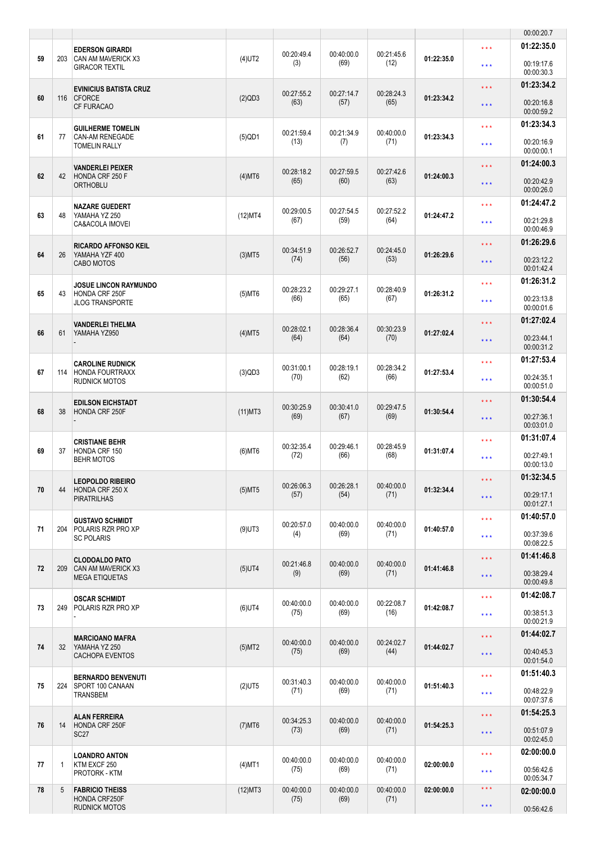|    |              |                                                                            |              |                    |                    |                    |            |                                            | 00:00:20.7               |
|----|--------------|----------------------------------------------------------------------------|--------------|--------------------|--------------------|--------------------|------------|--------------------------------------------|--------------------------|
| 59 | 203          | <b>EDERSON GIRARDI</b><br>CAN AM MAVERICK X3                               | $(4)$ UT2    | 00:20:49.4         | 00:40:00.0         | 00:21:45.6         | 01:22:35.0 | $\star \star \star$                        | 01:22:35.0               |
|    |              | <b>GIRACOR TEXTIL</b>                                                      |              | (3)                | (69)               | (12)               |            | $\star \star \star$                        | 00:19:17.6<br>00:00:30.3 |
| 60 | 116          | <b>EVINICIUS BATISTA CRUZ</b><br><b>CFORCE</b>                             | (2)QD3       | 00:27:55.2<br>(63) | 00:27:14.7<br>(57) | 00:28:24.3<br>(65) | 01:23:34.2 | $\star \star \star$<br>$\star \star \star$ | 01:23:34.2<br>00:20:16.8 |
|    |              | CF FURACAO                                                                 |              |                    |                    |                    |            |                                            | 00:00:59.2<br>01:23:34.3 |
| 61 | 77           | <b>GUILHERME TOMELIN</b><br><b>CAN-AM RENEGADE</b><br><b>TOMELIN RALLY</b> | $(5)$ QD1    | 00:21:59.4<br>(13) | 00:21:34.9<br>(7)  | 00:40:00.0<br>(71) | 01:23:34.3 | $\star \star \star$<br>$***$               | 00:20:16.9<br>00:00:00.1 |
|    |              | <b>VANDERLEI PEIXER</b>                                                    |              |                    |                    |                    |            | $\star \star \star$                        | 01:24:00.3               |
| 62 | 42           | HONDA CRF 250 F<br><b>ORTHOBLU</b>                                         | $(4)$ MT6    | 00:28:18.2<br>(65) | 00:27:59.5<br>(60) | 00:27:42.6<br>(63) | 01:24:00.3 | $\star \star \star$                        | 00:20:42.9<br>00:00:26.0 |
|    |              | <b>NAZARE GUEDERT</b>                                                      |              | 00:29:00.5         | 00:27:54.5         | 00:27:52.2         |            | $\star \star \star$                        | 01:24:47.2               |
| 63 | 48           | YAMAHA YZ 250<br>CA&ACOLA IMOVEI                                           | (12)MT4      | (67)               | (59)               | (64)               | 01:24:47.2 | $***$                                      | 00:21:29.8<br>00:00:46.9 |
|    |              | <b>RICARDO AFFONSO KEIL</b>                                                |              | 00:34:51.9         | 00:26:52.7         | 00:24:45.0         |            | $\star \star \star$                        | 01:26:29.6               |
| 64 | 26           | YAMAHA YZF 400<br><b>CABO MOTOS</b>                                        | $(3)$ MT5    | (74)               | (56)               | (53)               | 01:26:29.6 | $\star \star \star$                        | 00:23:12.2<br>00:01:42.4 |
| 65 | 43           | <b>JOSUE LINCON RAYMUNDO</b><br>HONDA CRF 250F                             | $(5)$ MT6    | 00:28:23.2         | 00:29:27.1         | 00:28:40.9         | 01:26:31.2 | $***$                                      | 01:26:31.2               |
|    |              | <b>JLOG TRANSPORTE</b>                                                     |              | (66)               | (65)               | (67)               |            | $***$                                      | 00:23:13.8<br>00:00:01.6 |
| 66 | 61           | <b>VANDERLEI THELMA</b><br>YAMAHA YZ950                                    | $(4)$ MT5    | 00:28:02.1         | 00:28:36.4         | 00:30:23.9         | 01:27:02.4 | $\star \star \star$                        | 01:27:02.4               |
|    |              |                                                                            |              | (64)               | (64)               | (70)               |            | $\star \star \star$                        | 00:23:44.1<br>00:00:31.2 |
|    |              | <b>CAROLINE RUDNICK</b>                                                    |              | 00:31:00.1         | 00:28:19.1         | 00:28:34.2         |            | $\star \star \star$                        | 01:27:53.4               |
| 67 | 114          | <b>HONDA FOURTRAXX</b><br><b>RUDNICK MOTOS</b>                             | (3)QD3       | (70)               | (62)               | (66)               | 01:27:53.4 | $\star \star \star$                        | 00:24:35.1<br>00:00:51.0 |
|    |              | <b>EDILSON EICHSTADT</b><br>HONDA CRF 250F                                 |              | 00:30:25.9         | 00:30:41.0         | 00:29:47.5         |            | $\star \star \star$                        | 01:30:54.4               |
| 68 | 38           |                                                                            | $(11)$ MT3   | (69)               | (67)               | (69)               | 01:30:54.4 | $\star \star \star$                        | 00:27:36.1<br>00:03:01.0 |
|    |              | <b>CRISTIANE BEHR</b>                                                      |              | 00:32:35.4         | 00:29:46.1         | 00:28:45.9         |            | $\star \star \star$                        | 01:31:07.4               |
| 69 | 37           | HONDA CRF 150<br><b>BEHR MOTOS</b>                                         | $(6)$ MT $6$ | (72)               | (66)               | (68)               | 01:31:07.4 | $***$                                      | 00:27:49.1<br>00:00:13.0 |
| 70 | 44           | <b>LEOPOLDO RIBEIRO</b><br>HONDA CRF 250 X                                 | $(5)$ MT5    | 00:26:06.3         | 00:26:28.1         | 00:40:00.0         | 01:32:34.4 | $\star$ $\star$ $\star$                    | 01:32:34.5               |
|    |              | <b>PIRATRILHAS</b>                                                         |              | (57)               | (54)               | (71)               |            | $\star \star \star$                        | 00:29:17.1<br>00:01:27.1 |
|    |              | <b>GUSTAVO SCHMIDT</b>                                                     |              | 00:20:57.0         | 00:40:00.0         | 00:40:00.0         |            | $\star\star\star$                          | 01:40:57.0               |
| 71 | 204          | POLARIS RZR PRO XP<br><b>SC POLARIS</b>                                    | $(9)$ UT3    | (4)                | (69)               | (71)               | 01:40:57.0 | $\star \star \star$                        | 00:37:39.6<br>00:08:22.5 |
| 72 | 209          | <b>CLODOALDO PATO</b><br>CAN AM MAVERICK X3                                |              | 00:21:46.8         | 00:40:00.0         | 00:40:00.0         | 01:41:46.8 | $\star\star\star$                          | 01:41:46.8               |
|    |              | <b>MEGA ETIQUETAS</b>                                                      | $(5)$ UT4    | (9)                | (69)               | (71)               |            | $\star \star \star$                        | 00:38:29.4<br>00:00:49.8 |
| 73 | 249          | <b>OSCAR SCHMIDT</b><br><b>POLARIS RZR PRO XP</b>                          | $(6)$ UT4    | 00:40:00.0         | 00:40:00.0         | 00:22:08.7         | 01:42:08.7 | $\star \star \star$                        | 01:42:08.7               |
|    |              |                                                                            |              | (75)               | (69)               | (16)               |            | $\star \star \star$                        | 00:38:51.3<br>00:00:21.9 |
|    |              | <b>MARCIOANO MAFRA</b>                                                     |              | 00:40:00.0         | 00:40:00.0         | 00:24:02.7         |            | $\star \star \star$                        | 01:44:02.7               |
| 74 | 32           | YAMAHA YZ 250<br>CACHOPA EVENTOS                                           | $(5)$ MT2    | (75)               | (69)               | (44)               | 01:44:02.7 | $\star \star \star$                        | 00:40:45.3<br>00:01:54.0 |
| 75 | 224          | <b>BERNARDO BENVENUTI</b><br>SPORT 100 CANAAN                              | $(2)$ UT5    | 00:31:40.3         | 00:40:00.0         | 00:40:00.0         | 01:51:40.3 | $\star \star \star$                        | 01:51:40.3               |
|    |              | TRANSBEM                                                                   |              | (71)               | (69)               | (71)               |            | $\star \star \star$                        | 00:48:22.9<br>00:07:37.6 |
| 76 | 14           | <b>ALAN FERREIRA</b><br>HONDA CRF 250F                                     | $(7)$ MT6    | 00:34:25.3         | 00:40:00.0         | 00:40:00.0         | 01:54:25.3 | $\star$ $\star$ $\star$                    | 01:54:25.3               |
|    |              | SC <sub>27</sub>                                                           |              | (73)               | (69)               | (71)               |            | $\star\star\star$                          | 00:51:07.9<br>00:02:45.0 |
|    |              | <b>LOANDRO ANTON</b>                                                       |              | 00:40:00.0         | 00:40:00.0         | 00:40:00.0         |            | $\star\star\star$                          | 02:00:00.0               |
| 77 | $\mathbf{1}$ | KTM EXCF 250<br><b>PROTORK - KTM</b>                                       | $(4)$ MT1    | (75)               | (69)               | (71)               | 02:00:00.0 | $\star \star \star$                        | 00:56:42.6<br>00:05:34.7 |
| 78 | 5            | <b>FABRICIO THEISS</b><br>HONDA CRF250F                                    | $(12)$ MT3   | 00:40:00.0<br>(75) | 00:40:00.0<br>(69) | 00:40:00.0<br>(71) | 02:00:00.0 | $\star$ $\star$ $\star$                    | 02:00:00.0               |
|    |              | <b>RUDNICK MOTOS</b>                                                       |              |                    |                    |                    |            | $\star\star\star$                          | 00:56:42.6               |